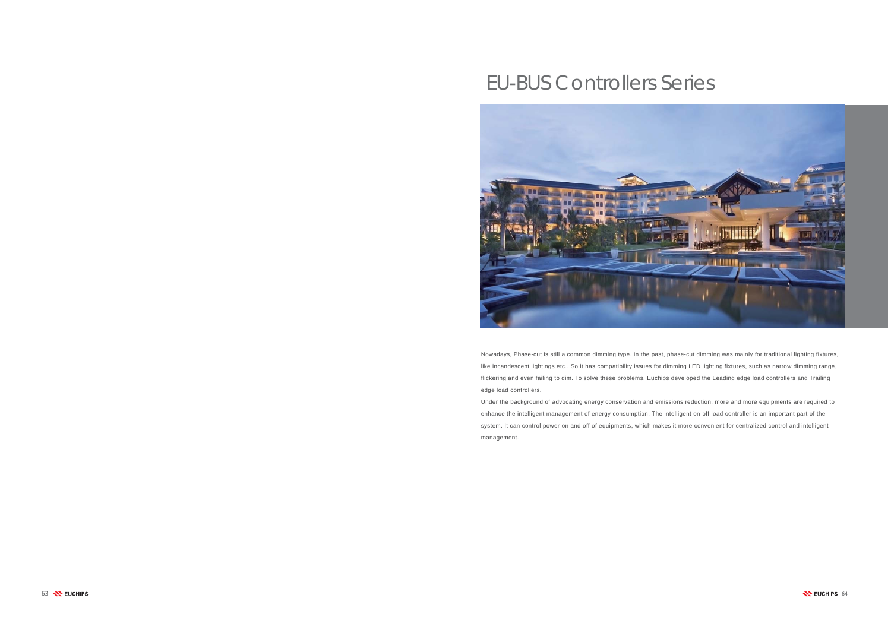

# EU-BUS Controllers Series



Nowadays, Phase-cut is still a common dimming type. In the past, phase-cut dimming was mainly for traditional lighting fixtures, like incandescent lightings etc.. So it has compatibility issues for dimming LED lighting fixtures, such as narrow dimming range, flickering and even failing to dim. To solve these problems, Euchips developed the Leading edge load controllers and Trailing edge load controllers.

Under the background of advocating energy conservation and emissions reduction, more and more equipments are required to enhance the intelligent management of energy consumption. The intelligent on-off load controller is an important part of the system. It can control power on and off of equipments, which makes it more convenient for centralized control and intelligent management.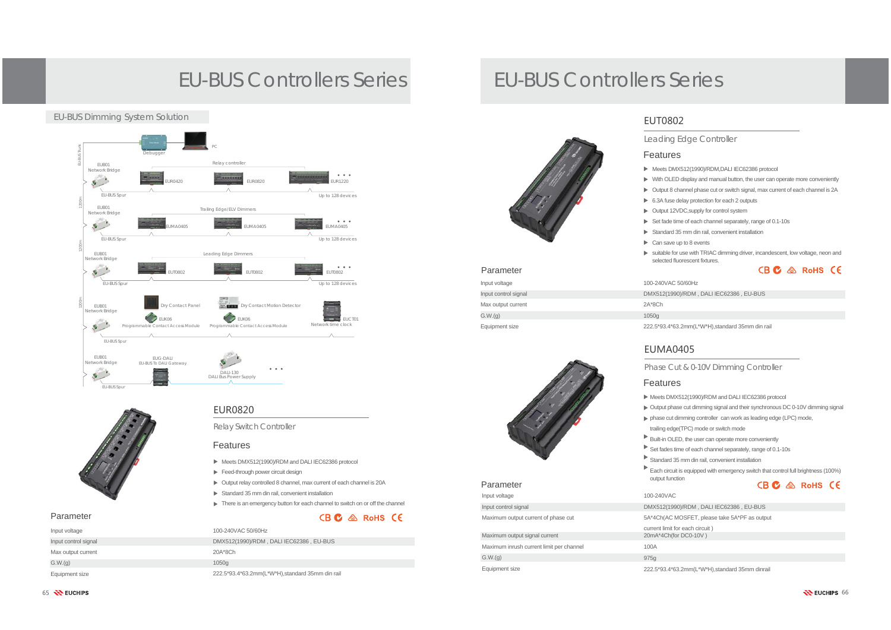EUR0820

Relay Switch Controller

Feed-through power circuit design

Meets DMX512(1990)/RDM and DALI IEC62386 protocol

Standard 35 mm din rail, convenient installation

Features

Output relay controlled 8 channel, max current of each channel is 20A

There is an emergency button for each channel to switch on or off the channel

 $CB$   $C$   $\&$  RoHS  $C$ 



Parameter

#### Parameter



# EU-BUS Controllers Series EU-BUS Controllers Series

### Phase Cut & 0-10V Dimming Controller

- Meets DMX512(1990)/RDM and DALI IEC62386 protocol
- Output phase cut dimming signal and their synchronous DC 0-10V dimming signal
- phase cut dimming controller can work as leading edge (LPC) mode,
- trailing edge(TPC) mode or switch mode
- Built-in OLED, the user can operate more conveniently
- Set fades time of each channel separately, range of 0.1-10s
- Standard 35 mm din rail, convenient installation
- Each circuit is equipped with emergency switch that control full brightness (100%) CB C & RoHS CE
- DMX512(1990)/RDM , DALI IEC62386 , EU-BUS
	- MOSFET, please take 5A\*PF as output
	- for each circuit) for DC0-10V  $)$

# Features

### Features

- ▶ Meets DMX512(1990)/RDM,DALI IEC62386 protocol
- With OLED display and manual button, the user can operate more conveniently
- Output 8 channel phase cut or switch signal, max current of each channel is 2A
- ▶ 6.3A fuse delay protection for each 2 outputs
- ▶ Output 12VDC, supply for control system
- Set fade time of each channel separately, range of 0.1-10s
- Standard 35 mm din rail, convenient installation
- $\triangleright$  Can save up to 8 events
- suitable for use with TRIAC dimming driver, incandescent, low voltage, neon and selected fluorescent fixtures.CB C & RoHS CE

50/60Hz 90)/RDM, DALI IEC62386, EU-BUS

63.2mm(L\*W\*H),standard 35mm din rail

- 
- 
- 
- 
- 
- 
- 
- output function

# Input voltage 100-240VAC

| 5A*4Ch(AC                     |
|-------------------------------|
| current limit t<br>20mA*4Ch(f |
| 100A                          |
| 975g                          |
| 222.5*93.4*6                  |

65 **WEUCHIPS** 



## EUMA0405

### Leading Edge Controller

## EUT0802

Input control signal

 $G.W.(q)$ 

Maximum output current of phase cut

Maximum inrush current limit per channel

Maximum output signal current

Equipment size 222.5\*93.4\*63.2mm(L\*W\*H),standard 35mm dinrail

| Input voltage        | 100-240VAC   |
|----------------------|--------------|
| Input control signal | DMX512(199   |
| Max output current   | $2A*8Ch$     |
| G.W.(q)              | 1050g        |
| Equipment size       | 222.5*93.4*6 |

#### Parameter

| Input voltage        | 100-240VAC 50/60Hz                               |
|----------------------|--------------------------------------------------|
| Input control signal | DMX512(1990)/RDM, DALI IEC62386, EU-BUS          |
| Max output current   | 20A*8Ch                                          |
| G.W.(q)              | 1050g                                            |
| Equipment size       | 222.5*93.4*63.2mm(L*W*H), standard 35mm din rail |



### EU-BUS Dimming System Solution